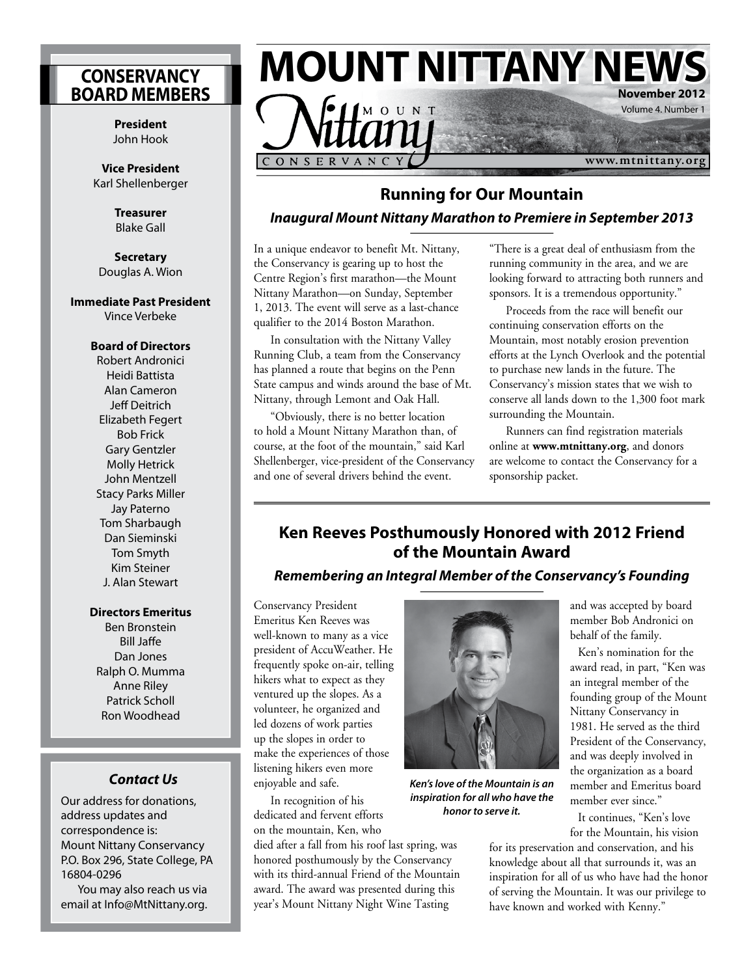### **CONSERVANCY BOARD MEMBERS**

**President** John Hook

**Vice President**  Karl Shellenberger

> **Treasurer** Blake Gall

**Secretary** Douglas A. Wion

#### **Immediate Past President**

Vince Verbeke

### **Board of Directors**

Robert Andronici Heidi Battista Alan Cameron Jeff Deitrich Elizabeth Fegert Bob Frick Gary Gentzler Molly Hetrick John Mentzell Stacy Parks Miller Jay Paterno Tom Sharbaugh Dan Sieminski Tom Smyth Kim Steiner J. Alan Stewart

### **Directors Emeritus**

Ben Bronstein Bill Jaffe Dan Jones Ralph O. Mumma Anne Riley Patrick Scholl Ron Woodhead

### **Contact Us**

Our address for donations, address updates and correspondence is: Mount Nittany Conservancy P.O. Box 296, State College, PA 16804-0296

You may also reach us via email at Info@MtNittany.org.



## **Running for Our Mountain Inaugural Mount Nittany Marathon to Premiere in September 2013**

In a unique endeavor to benefit Mt. Nittany, the Conservancy is gearing up to host the Centre Region's first marathon—the Mount Nittany Marathon—on Sunday, September 1, 2013. The event will serve as a last-chance qualifier to the 2014 Boston Marathon.

In consultation with the Nittany Valley Running Club, a team from the Conservancy has planned a route that begins on the Penn State campus and winds around the base of Mt. Nittany, through Lemont and Oak Hall.

"Obviously, there is no better location to hold a Mount Nittany Marathon than, of course, at the foot of the mountain," said Karl Shellenberger, vice-president of the Conservancy and one of several drivers behind the event.

"There is a great deal of enthusiasm from the running community in the area, and we are looking forward to attracting both runners and sponsors. It is a tremendous opportunity."

Proceeds from the race will benefit our continuing conservation efforts on the Mountain, most notably erosion prevention efforts at the Lynch Overlook and the potential to purchase new lands in the future. The Conservancy's mission states that we wish to conserve all lands down to the 1,300 foot mark surrounding the Mountain.

Runners can find registration materials online at **www.mtnittany.org**, and donors are welcome to contact the Conservancy for a sponsorship packet.

### **Ken Reeves Posthumously Honored with 2012 Friend of the Mountain Award**

### **Remembering an Integral Member of the Conservancy's Founding**

Conservancy President Emeritus Ken Reeves was well-known to many as a vice president of AccuWeather. He frequently spoke on-air, telling hikers what to expect as they ventured up the slopes. As a volunteer, he organized and led dozens of work parties up the slopes in order to make the experiences of those listening hikers even more enjoyable and safe.

In recognition of his dedicated and fervent efforts on the mountain, Ken, who

died after a fall from his roof last spring, was honored posthumously by the Conservancy with its third-annual Friend of the Mountain award. The award was presented during this year's Mount Nittany Night Wine Tasting



**Ken's love of the Mountain is an inspiration for all who have the honor to serve it.**

and was accepted by board member Bob Andronici on behalf of the family.

Ken's nomination for the award read, in part, "Ken was an integral member of the founding group of the Mount Nittany Conservancy in 1981. He served as the third President of the Conservancy, and was deeply involved in the organization as a board member and Emeritus board member ever since."

It continues, "Ken's love for the Mountain, his vision

for its preservation and conservation, and his knowledge about all that surrounds it, was an inspiration for all of us who have had the honor of serving the Mountain. It was our privilege to have known and worked with Kenny."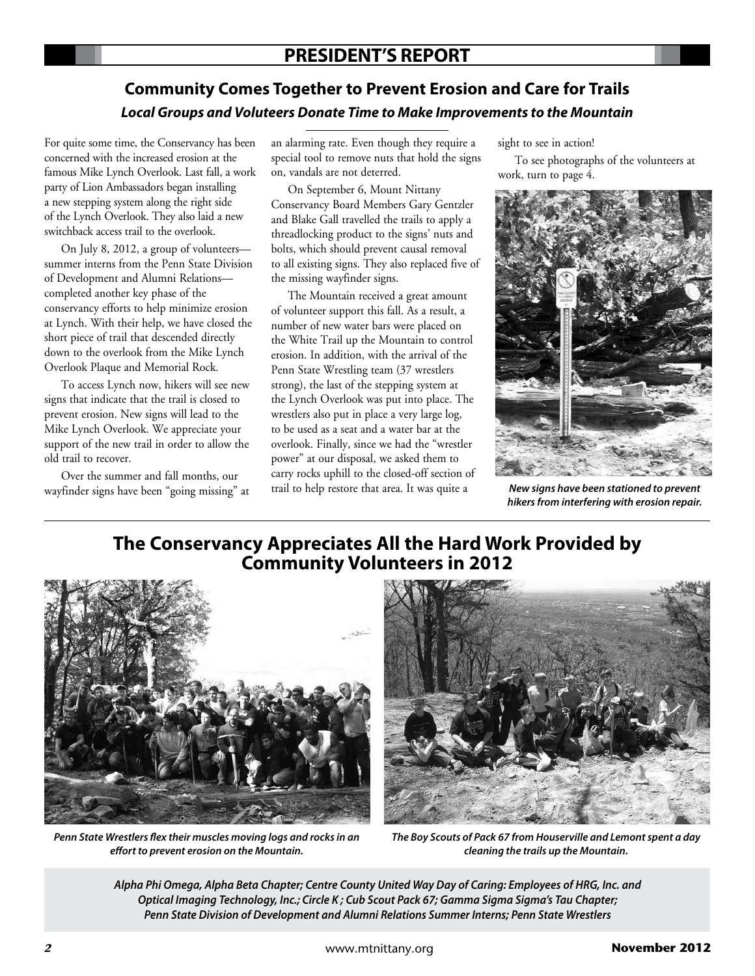## **Community Comes Together to Prevent Erosion and Care for Trails Local Groups and Voluteers Donate Time to Make Improvements to the Mountain**

For quite some time, the Conservancy has been concerned with the increased erosion at the famous Mike Lynch Overlook. Last fall, a work party of Lion Ambassadors began installing a new stepping system along the right side of the Lynch Overlook. They also laid a new switchback access trail to the overlook.

On July 8, 2012, a group of volunteers summer interns from the Penn State Division of Development and Alumni Relations completed another key phase of the conservancy efforts to help minimize erosion at Lynch. With their help, we have closed the short piece of trail that descended directly down to the overlook from the Mike Lynch Overlook Plaque and Memorial Rock.

To access Lynch now, hikers will see new signs that indicate that the trail is closed to prevent erosion. New signs will lead to the Mike Lynch Overlook. We appreciate your support of the new trail in order to allow the old trail to recover.

Over the summer and fall months, our wayfinder signs have been "going missing" at an alarming rate. Even though they require a special tool to remove nuts that hold the signs on, vandals are not deterred.

On September 6, Mount Nittany Conservancy Board Members Gary Gentzler and Blake Gall travelled the trails to apply a threadlocking product to the signs' nuts and bolts, which should prevent causal removal to all existing signs. They also replaced five of the missing wayfinder signs.

The Mountain received a great amount of volunteer support this fall. As a result, a number of new water bars were placed on the White Trail up the Mountain to control erosion. In addition, with the arrival of the Penn State Wrestling team (37 wrestlers strong), the last of the stepping system at the Lynch Overlook was put into place. The wrestlers also put in place a very large log, to be used as a seat and a water bar at the overlook. Finally, since we had the "wrestler power" at our disposal, we asked them to carry rocks uphill to the closed-off section of trail to help restore that area. It was quite a

sight to see in action!

To see photographs of the volunteers at work, turn to page 4.



**New signs have been stationed to prevent hikers from interfering with erosion repair.**

## **The Conservancy Appreciates All the Hard Work Provided by Community Volunteers in 2012**



**Penn State Wrestlers !ex their muscles moving logs and rocks in an e"ort to prevent erosion on the Mountain.**



**The Boy Scouts of Pack 67 from Houserville and Lemont spent a day cleaning the trails up the Mountain.**

**Alpha Phi Omega, Alpha Beta Chapter; Centre County United Way Day of Caring: Employees of HRG, Inc. and Optical Imaging Technology, Inc.; Circle K ; Cub Scout Pack 67; Gamma Sigma Sigma's Tau Chapter; Penn State Division of Development and Alumni Relations Summer Interns; Penn State Wrestlers**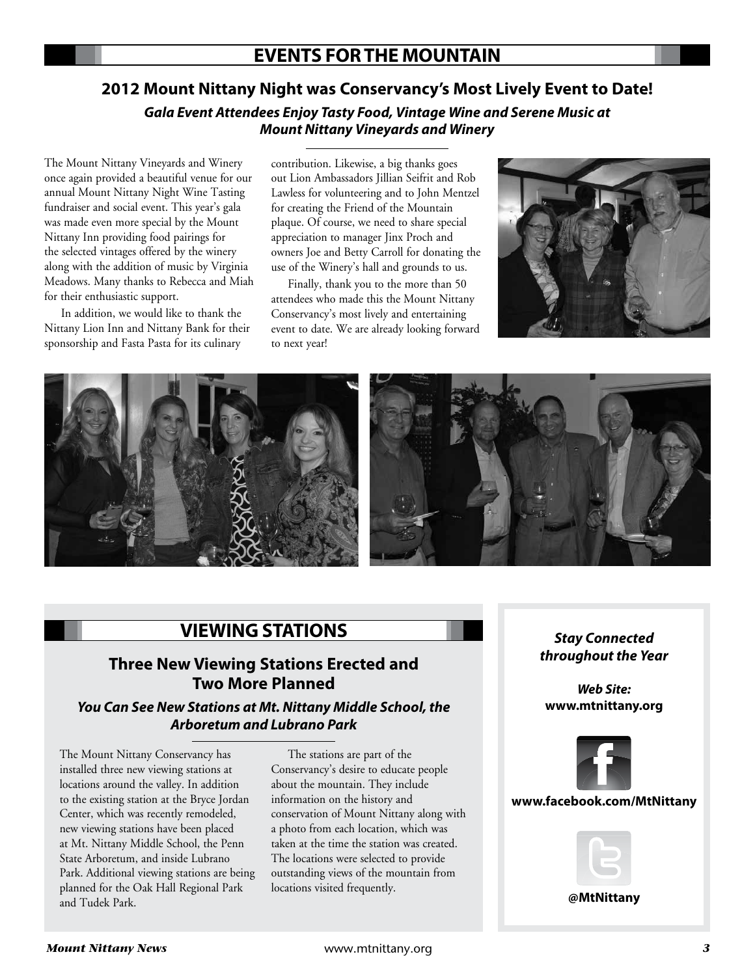## **EVENTS FOR THE MOUNTAIN**

## **2012 Mount Nittany Night was Conservancy's Most Lively Event to Date!**

**Gala Event Attendees Enjoy Tasty Food, Vintage Wine and Serene Music at Mount Nittany Vineyards and Winery**

The Mount Nittany Vineyards and Winery once again provided a beautiful venue for our annual Mount Nittany Night Wine Tasting fundraiser and social event. This year's gala was made even more special by the Mount Nittany Inn providing food pairings for the selected vintages offered by the winery along with the addition of music by Virginia Meadows. Many thanks to Rebecca and Miah for their enthusiastic support.

In addition, we would like to thank the Nittany Lion Inn and Nittany Bank for their sponsorship and Fasta Pasta for its culinary

contribution. Likewise, a big thanks goes out Lion Ambassadors Jillian Seifrit and Rob Lawless for volunteering and to John Mentzel for creating the Friend of the Mountain plaque. Of course, we need to share special appreciation to manager Jinx Proch and owners Joe and Betty Carroll for donating the use of the Winery's hall and grounds to us.

Finally, thank you to the more than 50 attendees who made this the Mount Nittany Conservancy's most lively and entertaining event to date. We are already looking forward to next year!





## **VIEWING STATIONS** Stay Connected

### **Three New Viewing Stations Erected and Two More Planned**

### **You Can See New Stations at Mt. Nittany Middle School, the Arboretum and Lubrano Park**

The Mount Nittany Conservancy has installed three new viewing stations at locations around the valley. In addition to the existing station at the Bryce Jordan Center, which was recently remodeled, new viewing stations have been placed at Mt. Nittany Middle School, the Penn State Arboretum, and inside Lubrano Park. Additional viewing stations are being planned for the Oak Hall Regional Park and Tudek Park.

The stations are part of the Conservancy's desire to educate people about the mountain. They include information on the history and conservation of Mount Nittany along with a photo from each location, which was taken at the time the station was created. The locations were selected to provide outstanding views of the mountain from locations visited frequently.

# **throughout the Year**

**Web Site: www.mtnittany.org**



### **www.facebook.com/MtNittany**



**@MtNittany**